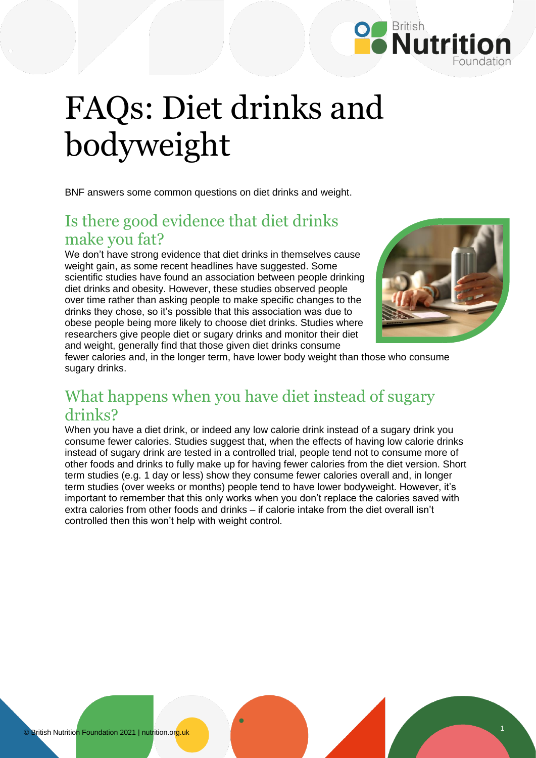

# FAQs: Diet drinks and bodyweight

BNF answers some common questions on diet drinks and weight.

## Is there good evidence that diet drinks make you fat?

We don't have strong evidence that diet drinks in themselves cause weight gain, as some recent headlines have suggested. Some scientific studies have found an association between people drinking diet drinks and obesity. However, these studies observed people over time rather than asking people to make specific changes to the drinks they chose, so it's possible that this association was due to obese people being more likely to choose diet drinks. Studies where researchers give people diet or sugary drinks and monitor their diet and weight, generally find that those given diet drinks consume



fewer calories and, in the longer term, have lower body weight than those who consume sugary drinks.

## What happens when you have diet instead of sugary drinks?

When you have a diet drink, or indeed any low calorie drink instead of a sugary drink you consume fewer calories. Studies suggest that, when the effects of having low calorie drinks instead of sugary drink are tested in a controlled trial, people tend not to consume more of other foods and drinks to fully make up for having fewer calories from the diet version. Short term studies (e.g. 1 day or less) show they consume fewer calories overall and, in longer term studies (over weeks or months) people tend to have lower bodyweight. However, it's important to remember that this only works when you don't replace the calories saved with extra calories from other foods and drinks – if calorie intake from the diet overall isn't controlled then this won't help with weight control.